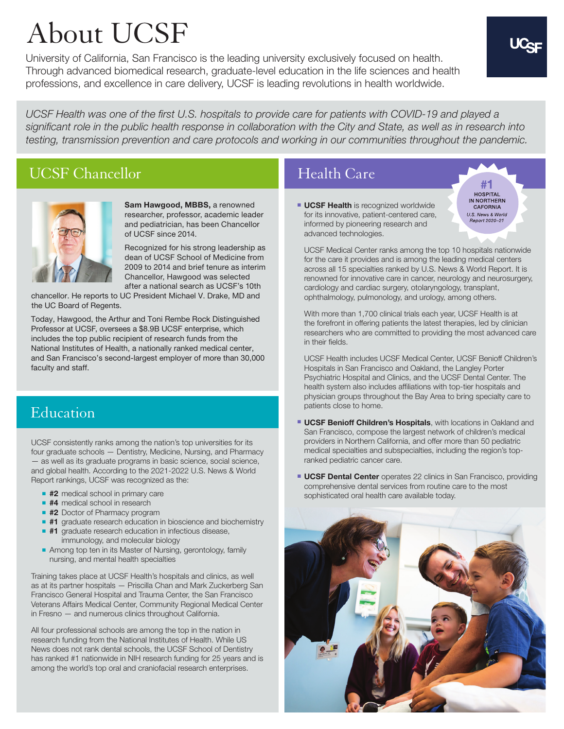# About UCSF

University of California, San Francisco is the leading university exclusively focused on health. Through advanced biomedical research, graduate-level education in the life sciences and health professions, and excellence in care delivery, UCSF is leading revolutions in health worldwide.

UCSF Health was one of the first U.S. hospitals to provide care for patients with COVID-19 and played a significant role in the public health response in collaboration with the City and State, as well as in research into testing, transmission prevention and care protocols and working in our communities throughout the pandemic.

#### UCSF Chancellor



**Sam Hawgood, MBBS,** a renowned researcher, professor, academic leader and pediatrician, has been Chancellor of UCSF since 2014.

Recognized for his strong leadership as dean of UCSF School of Medicine from 2009 to 2014 and brief tenure as interim Chancellor, Hawgood was selected after a national search as UCSF's 10th

chancellor. He reports to UC President Michael V. Drake, MD and the UC Board of Regents.

Today, Hawgood, the Arthur and Toni Rembe Rock Distinguished Professor at UCSF, oversees a \$8.9B UCSF enterprise, which includes the top public recipient of research funds from the National Institutes of Health, a nationally ranked medical center, and San Francisco's second-largest employer of more than 30,000 faculty and staff.

# Education

UCSF consistently ranks among the nation's top universities for its four graduate schools — Dentistry, Medicine, Nursing, and Pharmacy — as well as its graduate programs in basic science, social science, and global health. According to the 2021-2022 U.S. News & World Report rankings, UCSF was recognized as the:

- #2 medical school in primary care
- **#4** medical school in research
- **#2** Doctor of Pharmacy program
- **#1** graduate research education in bioscience and biochemistry
- **#1** graduate research education in infectious disease, immunology, and molecular biology
- Among top ten in its Master of Nursing, gerontology, family nursing, and mental health specialties

Training takes place at UCSF Health's hospitals and clinics, as well as at its partner hospitals — Priscilla Chan and Mark Zuckerberg San Francisco General Hospital and Trauma Center, the San Francisco Veterans Affairs Medical Center, Community Regional Medical Center in Fresno — and numerous clinics throughout California.

All four professional schools are among the top in the nation in research funding from the National Institutes of Health. While US News does not rank dental schools, the UCSF School of Dentistry has ranked #1 nationwide in NIH research funding for 25 years and is among the world's top oral and craniofacial research enterprises.

#### Health Care

**UCSF Health** is recognized worldwide for its innovative, patient-centered care, informed by pioneering research and advanced technologies.

 UCSF Medical Center ranks among the top 10 hospitals nationwide for the care it provides and is among the leading medical centers across all 15 specialties ranked by U.S. News & World Report. It is renowned for innovative care in cancer, neurology and neurosurgery, cardiology and cardiac surgery, otolaryngology, transplant, ophthalmology, pulmonology, and urology, among others.

With more than 1,700 clinical trials each year, UCSF Health is at the forefront in offering patients the latest therapies, led by clinician researchers who are committed to providing the most advanced care in their fields.

 UCSF Health includes UCSF Medical Center, UCSF Benioff Children's Hospitals in San Francisco and Oakland, the Langley Porter Psychiatric Hospital and Clinics, and the UCSF Dental Center. The health system also includes affiliations with top-tier hospitals and physician groups throughout the Bay Area to bring specialty care to patients close to home.

- **UCSF Benioff Children's Hospitals**, with locations in Oakland and San Francisco, compose the largest network of children's medical providers in Northern California, and offer more than 50 pediatric medical specialties and subspecialties, including the region's topranked pediatric cancer care.
- **UCSF Dental Center** operates 22 clinics in San Francisco, providing comprehensive dental services from routine care to the most sophisticated oral health care available today.



**HOSPITAL** IN NORTHERN CAFORNIA U.S. News & World Report 2020-21